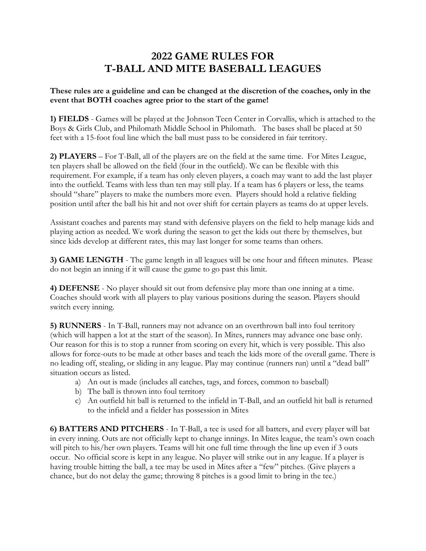## **2022 GAME RULES FOR T-BALL AND MITE BASEBALL LEAGUES**

## **These rules are a guideline and can be changed at the discretion of the coaches, only in the event that BOTH coaches agree prior to the start of the game!**

**1) FIELDS** - Games will be played at the Johnson Teen Center in Corvallis, which is attached to the Boys & Girls Club, and Philomath Middle School in Philomath. The bases shall be placed at 50 feet with a 15-foot foul line which the ball must pass to be considered in fair territory.

**2) PLAYERS** – For T-Ball, all of the players are on the field at the same time. For Mites League, ten players shall be allowed on the field (four in the outfield). We can be flexible with this requirement. For example, if a team has only eleven players, a coach may want to add the last player into the outfield. Teams with less than ten may still play. If a team has 6 players or less, the teams should "share" players to make the numbers more even. Players should hold a relative fielding position until after the ball his hit and not over shift for certain players as teams do at upper levels.

Assistant coaches and parents may stand with defensive players on the field to help manage kids and playing action as needed. We work during the season to get the kids out there by themselves, but since kids develop at different rates, this may last longer for some teams than others.

**3) GAME LENGTH** - The game length in all leagues will be one hour and fifteen minutes. Please do not begin an inning if it will cause the game to go past this limit.

**4) DEFENSE** - No player should sit out from defensive play more than one inning at a time. Coaches should work with all players to play various positions during the season. Players should switch every inning.

**5) RUNNERS** - In T-Ball, runners may not advance on an overthrown ball into foul territory (which will happen a lot at the start of the season). In Mites, runners may advance one base only. Our reason for this is to stop a runner from scoring on every hit, which is very possible. This also allows for force-outs to be made at other bases and teach the kids more of the overall game. There is no leading off, stealing, or sliding in any league. Play may continue (runners run) until a "dead ball" situation occurs as listed.

- a) An out is made (includes all catches, tags, and forces, common to baseball)
- b) The ball is thrown into foul territory
- c) An outfield hit ball is returned to the infield in T-Ball, and an outfield hit ball is returned to the infield and a fielder has possession in Mites

**6) BATTERS AND PITCHERS** - In T-Ball, a tee is used for all batters, and every player will bat in every inning. Outs are not officially kept to change innings. In Mites league, the team's own coach will pitch to his/her own players. Teams will hit one full time through the line up even if 3 outs occur. No official score is kept in any league. No player will strike out in any league. If a player is having trouble hitting the ball, a tee may be used in Mites after a "few" pitches. (Give players a chance, but do not delay the game; throwing 8 pitches is a good limit to bring in the tee.)